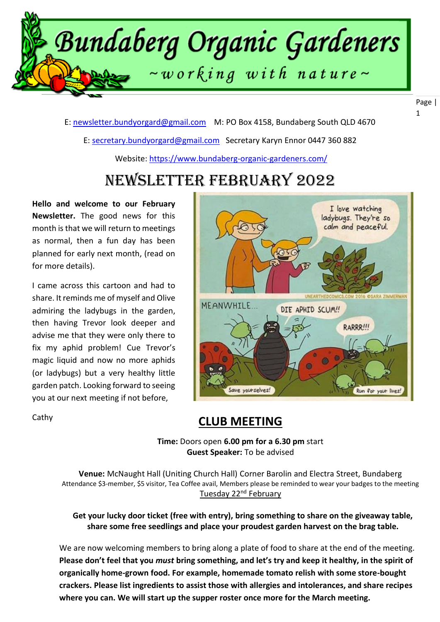

E: [newsletter.bundyorgard@gmail.com](file:///F:/data/documents/BOGI%20Files/Newsletters%202020/7.%20July%202020/newsletter.bundyorgard@gmail.com) M: PO Box 4158, Bundaberg South QLD 4670

E: [secretary.bundyorgard@gmail.com](file:///F:/data/documents/BOGI%20Files/Newsletters%202020/7.%20July%202020/secretary.bundyorgard@gmail.com) Secretary Karyn Ennor 0447 360 882

Website:<https://www.bundaberg-organic-gardeners.com/>

## Newsletter February 2022

**Hello and welcome to our February Newsletter.** The good news for this month is that we will return to meetings as normal, then a fun day has been planned for early next month, (read on for more details).

I came across this cartoon and had to share. It reminds me of myself and Olive admiring the ladybugs in the garden, then having Trevor look deeper and advise me that they were only there to fix my aphid problem! Cue Trevor's magic liquid and now no more aphids (or ladybugs) but a very healthy little garden patch. Looking forward to seeing you at our next meeting if not before,

I love watching ladybugs. They're so calm and peaceful. UNEARTH **MEANWHILE** DIE APHID SCUM!! RARRR!!!  $\ddot{\mathbf{a}}$ Save yourselves! Run for yout lives! 1

Cathy

### **CLUB MEETING**

 **Time:** Doors open **6.00 pm for a 6.30 pm** start **Guest Speaker:** To be advised

**Venue:** McNaught Hall (Uniting Church Hall) Corner Barolin and Electra Street, Bundaberg Attendance \$3-member, \$5 visitor, Tea Coffee avail, Members please be reminded to wear your badges to the meeting Tuesday 22<sup>nd</sup> February

**Get your lucky door ticket (free with entry), bring something to share on the giveaway table, share some free seedlings and place your proudest garden harvest on the brag table.**

We are now welcoming members to bring along a plate of food to share at the end of the meeting. **Please don't feel that you** *must* **bring something, and let's try and keep it healthy, in the spirit of organically home-grown food. For example, homemade tomato relish with some store-bought crackers. Please list ingredients to assist those with allergies and intolerances, and share recipes where you can. We will start up the supper roster once more for the March meeting.**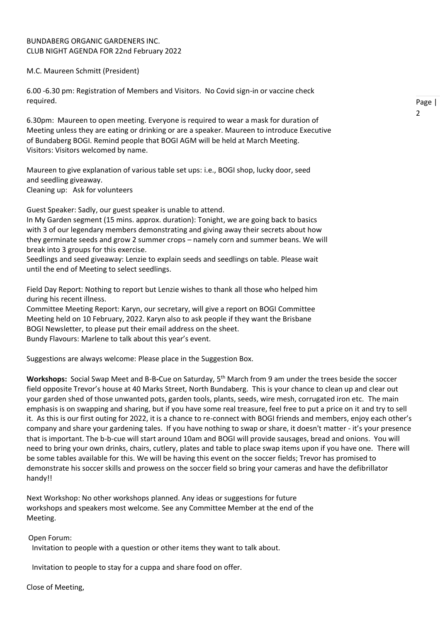### BUNDABERG ORGANIC GARDENERS INC. CLUB NIGHT AGENDA FOR 22nd February 2022

M.C. Maureen Schmitt (President)

6.00 -6.30 pm: Registration of Members and Visitors. No Covid sign-in or vaccine check required.

6.30pm: Maureen to open meeting. Everyone is required to wear a mask for duration of Meeting unless they are eating or drinking or are a speaker. Maureen to introduce Executive of Bundaberg BOGI. Remind people that BOGI AGM will be held at March Meeting. Visitors: Visitors welcomed by name.

Maureen to give explanation of various table set ups: i.e., BOGI shop, lucky door, seed and seedling giveaway. Cleaning up: Ask for volunteers

Guest Speaker: Sadly, our guest speaker is unable to attend.

In My Garden segment (15 mins. approx. duration): Tonight, we are going back to basics with 3 of our legendary members demonstrating and giving away their secrets about how they germinate seeds and grow 2 summer crops – namely corn and summer beans. We will break into 3 groups for this exercise.

Seedlings and seed giveaway: Lenzie to explain seeds and seedlings on table. Please wait until the end of Meeting to select seedlings.

Field Day Report: Nothing to report but Lenzie wishes to thank all those who helped him during his recent illness.

Committee Meeting Report: Karyn, our secretary, will give a report on BOGI Committee Meeting held on 10 February, 2022. Karyn also to ask people if they want the Brisbane BOGI Newsletter, to please put their email address on the sheet. Bundy Flavours: Marlene to talk about this year's event.

Suggestions are always welcome: Please place in the Suggestion Box.

**Workshops:** Social Swap Meet and B-B**-**Cue on Saturday, 5th March from 9 am under the trees beside the soccer field opposite Trevor's house at 40 Marks Street, North Bundaberg. This is your chance to clean up and clear out your garden shed of those unwanted pots, garden tools, plants, seeds, wire mesh, corrugated iron etc. The main emphasis is on swapping and sharing, but if you have some real treasure, feel free to put a price on it and try to sell it. As this is our first outing for 2022, it is a chance to re-connect with BOGI friends and members, enjoy each other's company and share your gardening tales. If you have nothing to swap or share, it doesn't matter - it's your presence that is important. The b-b-cue will start around 10am and BOGI will provide sausages, bread and onions. You will need to bring your own drinks, chairs, cutlery, plates and table to place swap items upon if you have one. There will be some tables available for this. We will be having this event on the soccer fields; Trevor has promised to demonstrate his soccer skills and prowess on the soccer field so bring your cameras and have the defibrillator handy!!

Next Workshop: No other workshops planned. Any ideas or suggestions for future workshops and speakers most welcome. See any Committee Member at the end of the Meeting.

Open Forum:

Invitation to people with a question or other items they want to talk about.

Invitation to people to stay for a cuppa and share food on offer.

Close of Meeting,

Page |  $\overline{2}$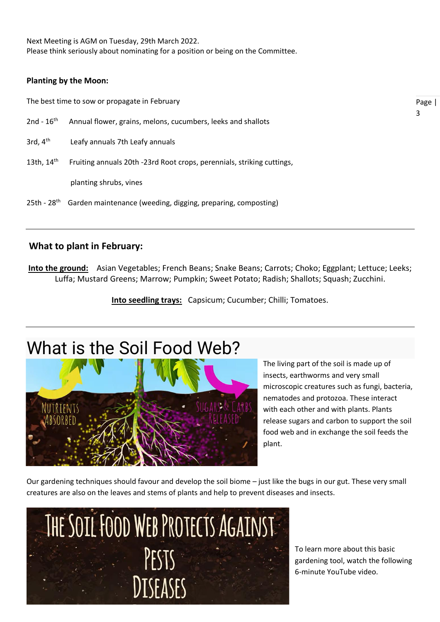Next Meeting is AGM on Tuesday, 29th March 2022. Please think seriously about nominating for a position or being on the Committee.

### **Planting by the Moon:**

The best time to sow or propagate in February

- 2nd  $16^{th}$ Annual flower, grains, melons, cucumbers, leeks and shallots
- 3rd,  $4<sup>th</sup>$ Leafy annuals 7th Leafy annuals
- 13th, 14th Fruiting annuals 20th -23rd Root crops, perennials, striking cuttings,

planting shrubs, vines

25th - 28<sup>th</sup> Garden maintenance (weeding, digging, preparing, composting)

### **What to plant in February:**

**Into the ground:** Asian Vegetables; French Beans; Snake Beans; Carrots; Choko; Eggplant; Lettuce; Leeks; Luffa; Mustard Greens; Marrow; Pumpkin; Sweet Potato; Radish; Shallots; Squash; Zucchini.

**Into seedling trays:** Capsicum; Cucumber; Chilli; Tomatoes.

# What is the Soil Food Web?



The living part of the soil is made up of insects, earthworms and very small microscopic creatures such as fungi, bacteria, nematodes and protozoa. These interact with each other and with plants. Plants release sugars and carbon to support the soil food web and in exchange the soil feeds the plant.

Our gardening techniques should favour and develop the soil biome – just like the bugs in our gut. These very small creatures are also on the leaves and stems of plants and help to prevent diseases and insects.



To learn more about this basic gardening tool, watch the following 6-minute YouTube video.

Page | 3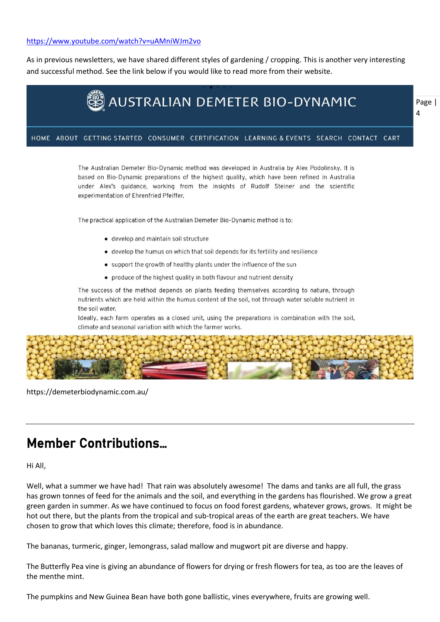### <https://www.youtube.com/watch?v=uAMniWJm2vo>

As in previous newsletters, we have shared different styles of gardening / cropping. This is another very interesting and successful method. See the link below if you would like to read more from their website.



The Australian Demeter Bio-Dynamic method was developed in Australia by Alex Podolinsky. It is based on Bio-Dynamic preparations of the highest guality, which have been refined in Australia under Alex's quidance, working from the insights of Rudolf Steiner and the scientific experimentation of Ehrenfried Pfeiffer.

The practical application of the Australian Demeter Bio-Dynamic method is to:

- · develop and maintain soil structure
- develop the humus on which that soil depends for its fertility and resilience
- support the growth of healthy plants under the influence of the sun
- produce of the highest quality in both flavour and nutrient density

The success of the method depends on plants feeding themselves according to nature, through nutrients which are held within the humus content of the soil, not through water soluble nutrient in the soil water.

Ideally, each farm operates as a closed unit, using the preparations in combination with the soil, climate and seasonal variation with which the farmer works.



https://demeterbiodynamic.com.au/

## Member Contributions…

Hi All,

Well, what a summer we have had! That rain was absolutely awesome! The dams and tanks are all full, the grass has grown tonnes of feed for the animals and the soil, and everything in the gardens has flourished. We grow a great green garden in summer. As we have continued to focus on food forest gardens, whatever grows, grows. It might be hot out there, but the plants from the tropical and sub-tropical areas of the earth are great teachers. We have chosen to grow that which loves this climate; therefore, food is in abundance.

The bananas, turmeric, ginger, lemongrass, salad mallow and mugwort pit are diverse and happy.

The Butterfly Pea vine is giving an abundance of flowers for drying or fresh flowers for tea, as too are the leaves of the menthe mint.

The pumpkins and New Guinea Bean have both gone ballistic, vines everywhere, fruits are growing well.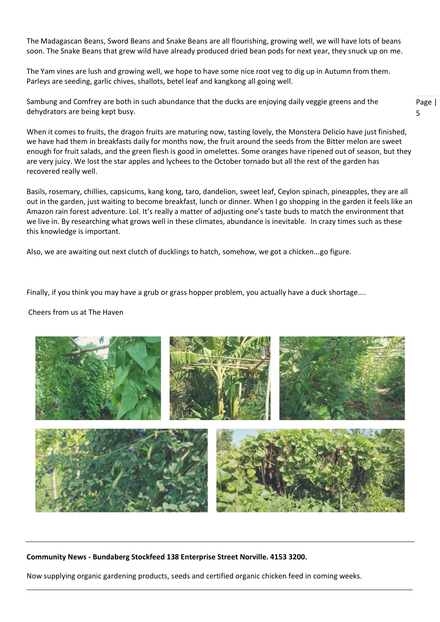The Madagascan Beans, Sword Beans and Snake Beans are all flourishing, growing well, we will have lots of beans soon. The Snake Beans that grew wild have already produced dried bean pods for next year, they snuck up on me.

The Yam vines are lush and growing well, we hope to have some nice root veg to dig up in Autumn from them. Parleys are seeding, garlic chives, shallots, betel leaf and kangkong all going well.

Sambung and Comfrey are both in such abundance that the ducks are enjoying daily veggie greens and the dehydrators are being kept busy.

When it comes to fruits, the dragon fruits are maturing now, tasting lovely, the Monstera Delicio have just finished, we have had them in breakfasts daily for months now, the fruit around the seeds from the Bitter melon are sweet enough for fruit salads, and the green flesh is good in omelettes. Some oranges have ripened out of season, but they are very juicy. We lost the star apples and lychees to the October tornado but all the rest of the garden has recovered really well.

Page | 5

Basils, rosemary, chillies, capsicums, kang kong, taro, dandelion, sweet leaf, Ceylon spinach, pineapples, they are all out in the garden, just waiting to become breakfast, lunch or dinner. When I go shopping in the garden it feels like an Amazon rain forest adventure. Lol. It's really a matter of adjusting one's taste buds to match the environment that we live in. By researching what grows well in these climates, abundance is inevitable. In crazy times such as these this knowledge is important.

Also, we are awaiting out next clutch of ducklings to hatch, somehow, we got a chicken...go figure.

Finally, if you think you may have a grub or grass hopper problem, you actually have a duck shortage....

### Cheers from us at The Haven



**Community News - Bundaberg Stockfeed 138 Enterprise Street Norville. 4153 3200.** 

Now supplying organic gardening products, seeds and certified organic chicken feed in coming weeks.